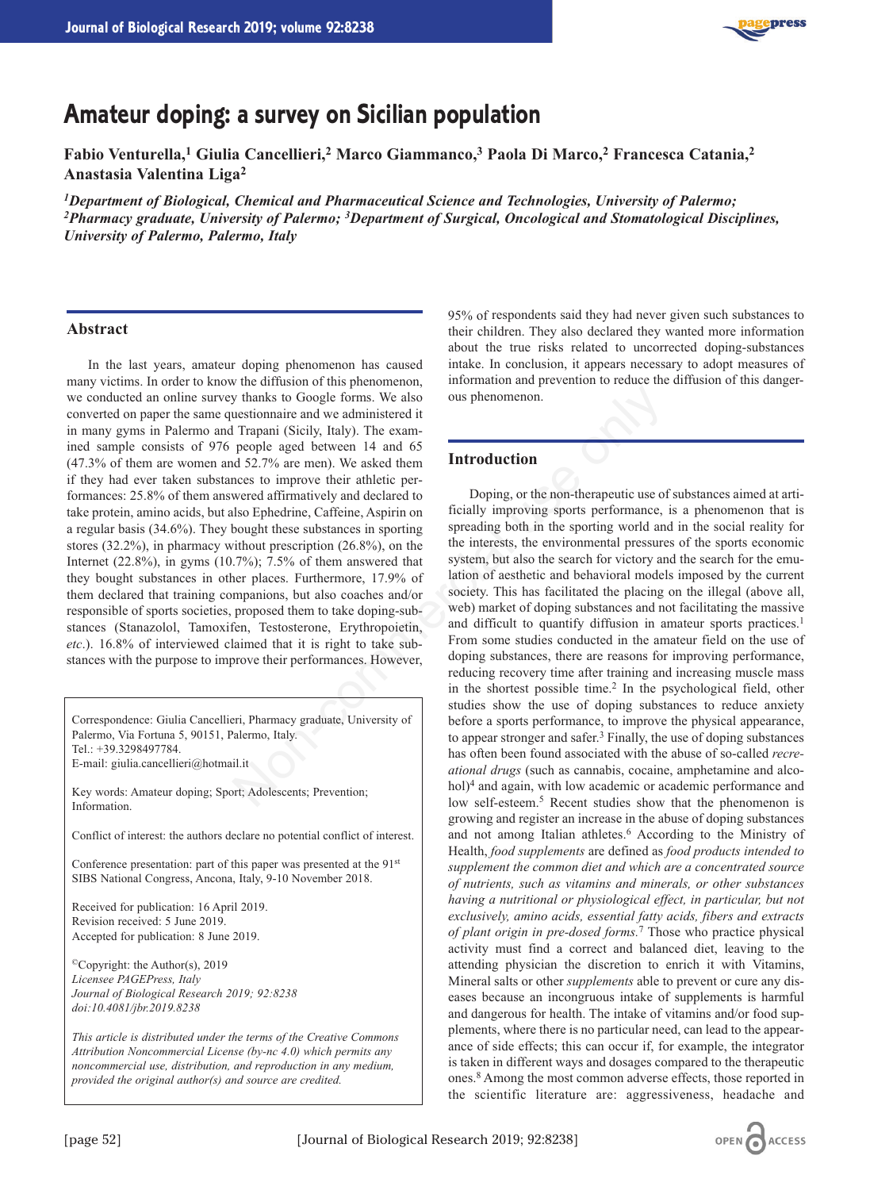

# **Amateur doping: a survey on Sicilian population**

**Fabio Venturella,1 Giulia Cancellieri,2 Marco Giammanco,3 Paola Di Marco,2 Francesca Catania,2 Anastasia Valentina Liga2**

*1Department of Biological, Chemical and Pharmaceutical Science and Technologies, University of Palermo; 2Pharmacy graduate, University of Palermo; 3Department of Surgical, Oncological and Stomatological Disciplines, University of Palermo, Palermo, Italy*

### **Abstract**

In the last years, amateur doping phenomenon has caused many victims. In order to know the diffusion of this phenomenon, we conducted an online survey thanks to Google forms. We also converted on paper the same questionnaire and we administered it in many gyms in Palermo and Trapani (Sicily, Italy). The examined sample consists of 976 people aged between 14 and 65 (47.3% of them are women and 52.7% are men). We asked them if they had ever taken substances to improve their athletic performances: 25.8% of them answered affirmatively and declared to take protein, amino acids, but also Ephedrine, Caffeine, Aspirin on a regular basis (34.6%). They bought these substances in sporting stores (32.2%), in pharmacy without prescription (26.8%), on the Internet (22.8%), in gyms (10.7%); 7.5% of them answered that they bought substances in other places. Furthermore, 17.9% of them declared that training companions, but also coaches and/or responsible of sports societies, proposed them to take doping-substances (Stanazolol, Tamoxifen, Testosterone, Erythropoietin, *etc*.). 16.8% of interviewed claimed that it is right to take substances with the purpose to improve their performances. However,

Correspondence: Giulia Cancellieri, Pharmacy graduate, University of Palermo, Via Fortuna 5, 90151, Palermo, Italy. Tel.: +39.3298497784. E-mail: giulia.cancellieri@hotmail.it

Key words: Amateur doping; Sport; Adolescents; Prevention; Information.

Conflict of interest: the authors declare no potential conflict of interest.

Conference presentation: part of this paper was presented at the 91<sup>st</sup> SIBS National Congress, Ancona, Italy, 9-10 November 2018.

Received for publication: 16 April 2019. Revision received: 5 June 2019. Accepted for publication: 8 June 2019.

©Copyright: the Author(s), 2019 *Licensee PAGEPress, Italy Journal of Biological Research 2019; 92:8238 doi:10.4081/jbr.2019.8238*

*This article is distributed under the terms of the Creative Commons Attribution Noncommercial License (by-nc 4.0) which permits any noncommercial use, distribution, and reproduction in any medium, provided the original author(s) and source are credited.*

95% of respondents said they had never given such substances to their children. They also declared they wanted more information about the true risks related to uncorrected doping-substances intake. In conclusion, it appears necessary to adopt measures of information and prevention to reduce the diffusion of this dangerous phenomenon.

#### **Introduction**

Doping, or the non-therapeutic use of substances aimed at artificially improving sports performance, is a phenomenon that is spreading both in the sporting world and in the social reality for the interests, the environmental pressures of the sports economic system, but also the search for victory and the search for the emulation of aesthetic and behavioral models imposed by the current society. This has facilitated the placing on the illegal (above all, web) market of doping substances and not facilitating the massive and difficult to quantify diffusion in amateur sports practices.<sup>1</sup> From some studies conducted in the amateur field on the use of doping substances, there are reasons for improving performance, reducing recovery time after training and increasing muscle mass in the shortest possible time.<sup>2</sup> In the psychological field, other studies show the use of doping substances to reduce anxiety before a sports performance, to improve the physical appearance, to appear stronger and safer.3 Finally, the use of doping substances has often been found associated with the abuse of so-called *recreational drugs* (such as cannabis, cocaine, amphetamine and alcohol)<sup>4</sup> and again, with low academic or academic performance and low self-esteem.5 Recent studies show that the phenomenon is growing and register an increase in the abuse of doping substances and not among Italian athletes.<sup>6</sup> According to the Ministry of Health, *food supplements* are defined as *food products intended to supplement the common diet and which are a concentrated source of nutrients, such as vitamins and minerals, or other substances having a nutritional or physiological effect, in particular, but not exclusively, amino acids, essential fatty acids, fibers and extracts of plant origin in pre-dosed forms.*<sup>7</sup> Those who practice physical activity must find a correct and balanced diet, leaving to the attending physician the discretion to enrich it with Vitamins, Mineral salts or other *supplements* able to prevent or cure any diseases because an incongruous intake of supplements is harmful and dangerous for health. The intake of vitamins and/or food supplements, where there is no particular need, can lead to the appearance of side effects; this can occur if, for example, the integrator is taken in different ways and dosages compared to the therapeutic ones.8 Among the most common adverse effects, those reported in the scientific literature are: aggressiveness, headache and y thanks to Google forms. We also<br>
use phenomenon.<br>
usetionnaire and we administered it<br>
1 Trapani (Sicily, Italy). The example (Sicily, Italy) in Pexample (Sicily, Italy). The compressed of mirror and dominatively and de

OPEN CACCESS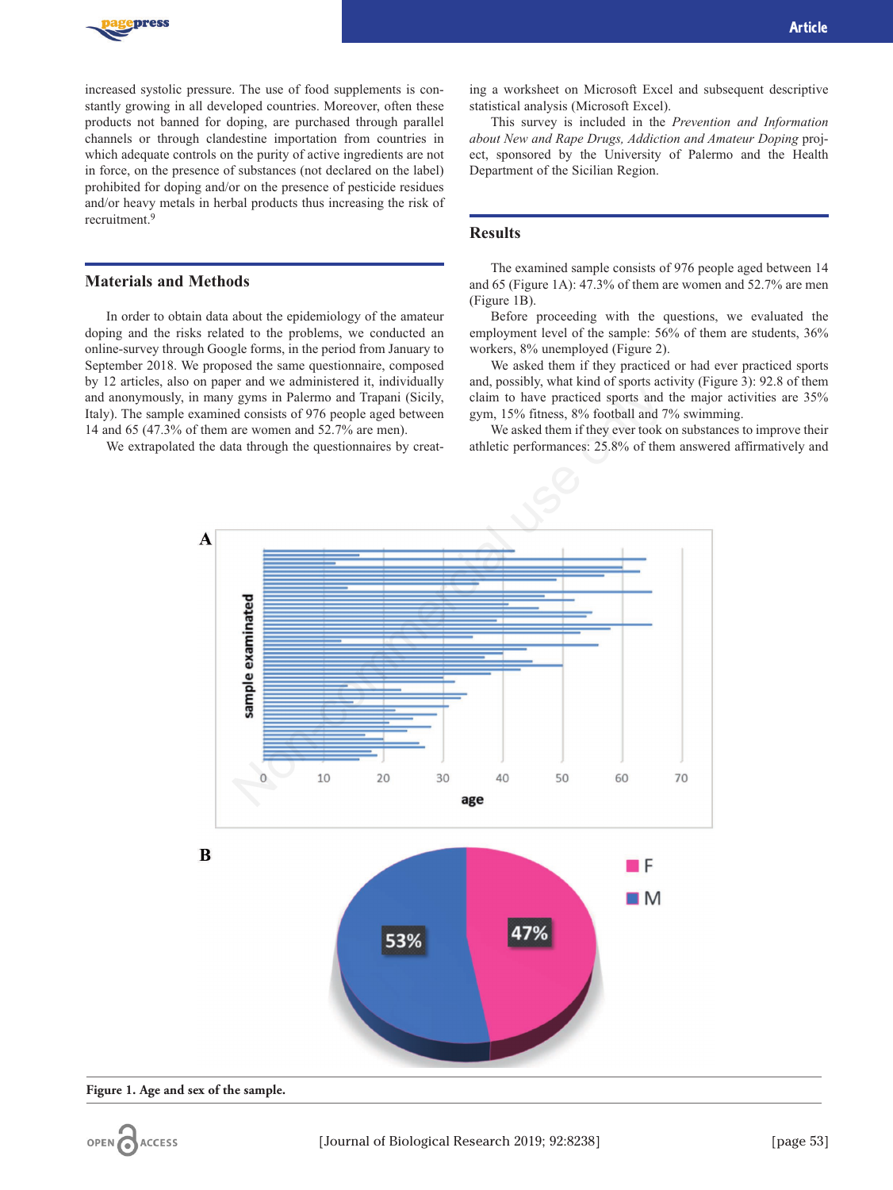

increased systolic pressure. The use of food supplements is constantly growing in all developed countries. Moreover, often these products not banned for doping, are purchased through parallel channels or through clandestine importation from countries in which adequate controls on the purity of active ingredients are not in force, on the presence of substances (not declared on the label) prohibited for doping and/or on the presence of pesticide residues and/or heavy metals in herbal products thus increasing the risk of recruitment.9

#### **Materials and Methods**

In order to obtain data about the epidemiology of the amateur doping and the risks related to the problems, we conducted an online-survey through Google forms, in the period from January to September 2018. We proposed the same questionnaire, composed by 12 articles, also on paper and we administered it, individually and anonymously, in many gyms in Palermo and Trapani (Sicily, Italy). The sample examined consists of 976 people aged between 14 and 65 (47.3% of them are women and 52.7% are men).

We extrapolated the data through the questionnaires by creat-

ing a worksheet on Microsoft Excel and subsequent descriptive statistical analysis (Microsoft Excel).

This survey is included in the *Prevention and Information about New and Rape Drugs, Addiction and Amateur Doping* project, sponsored by the University of Palermo and the Health Department of the Sicilian Region.

## **Results**

The examined sample consists of 976 people aged between 14 and 65 (Figure 1A): 47.3% of them are women and 52.7% are men (Figure 1B).

Before proceeding with the questions, we evaluated the employment level of the sample: 56% of them are students, 36% workers, 8% unemployed (Figure 2).

We asked them if they practiced or had ever practiced sports and, possibly, what kind of sports activity (Figure 3): 92.8 of them claim to have practiced sports and the major activities are 35% gym, 15% fitness, 8% football and 7% swimming.

We asked them if they ever took on substances to improve their athletic performances: 25.8% of them answered affirmatively and



**Figure 1. Age and sex of the sample.**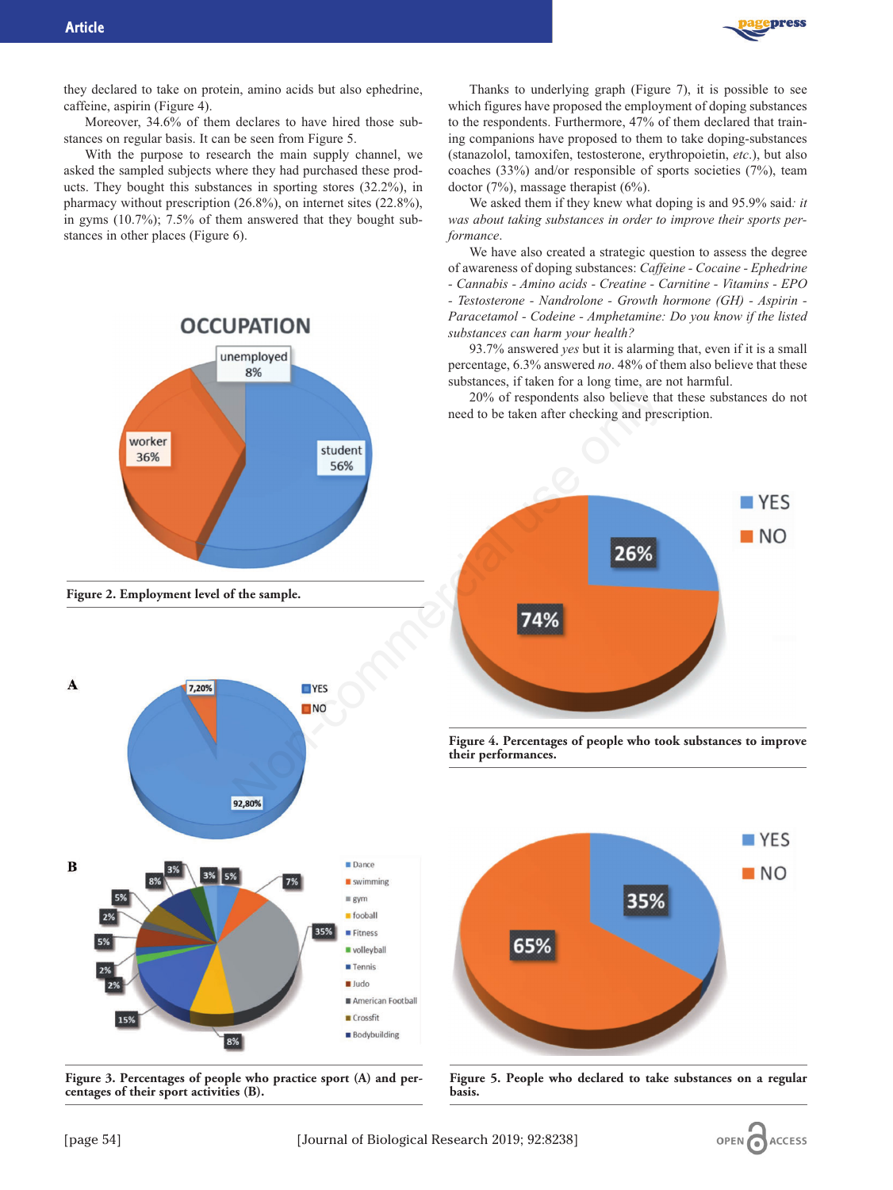

they declared to take on protein, amino acids but also ephedrine, caffeine, aspirin (Figure 4).

Moreover, 34.6% of them declares to have hired those substances on regular basis. It can be seen from Figure 5.

With the purpose to research the main supply channel, we asked the sampled subjects where they had purchased these products. They bought this substances in sporting stores (32.2%), in pharmacy without prescription (26.8%), on internet sites (22.8%), in gyms (10.7%); 7.5% of them answered that they bought substances in other places (Figure 6).



**Figure 2. Employment level of the sample.**



**Figure 3. Percentages of people who practice sport (A) and percentages of their sport activities (B).**

Thanks to underlying graph (Figure 7), it is possible to see which figures have proposed the employment of doping substances to the respondents. Furthermore, 47% of them declared that training companions have proposed to them to take doping-substances (stanazolol, tamoxifen, testosterone, erythropoietin, *etc*.), but also coaches (33%) and/or responsible of sports societies (7%), team doctor (7%), massage therapist (6%).

We asked them if they knew what doping is and 95.9% said*: it was about taking substances in order to improve their sports performance*.

We have also created a strategic question to assess the degree of awareness of doping substances: *Caffeine - Cocaine - Ephedrine - Cannabis - Amino acids - Creatine - Carnitine - Vitamins - EPO - Testosterone - Nandrolone - Growth hormone (GH) - Aspirin - Paracetamol - Codeine - Amphetamine: Do you know if the listed substances can harm your health?*

93.7% answered *yes* but it is alarming that, even if it is a small percentage, 6.3% answered *no*. 48% of them also believe that these substances, if taken for a long time, are not harmful.

20% of respondents also believe that these substances do not need to be taken after checking and prescription.



**Figure 4. Percentages of people who took substances to improve their performances.**